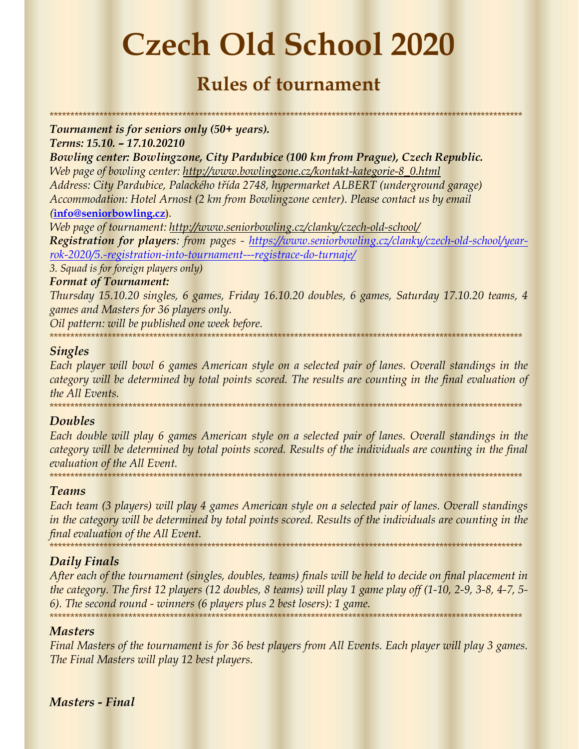# Czech Old School 2020

## Rules of tournament

\*\*\*\*\*\*\*\*\*\*\*\*\*\*\*\*\*\*\*\*\*\*\*\*\*\*\*\*\*\*\*\*\*\*\*\*\*\*\*\*\*\*\*\*\*\*\*\*\*\*\*\*\*\*\*\*\*\*\*\*\*\*\*\*\*\*\*\*\*\*\*\*\*\*\*\*\*\*\*\*\*\*\*\*\*\*\*\*\*\*\*\*\*\*\*\*\*\*\*\*\*\*\*\*\*\*\*\*\*\*\*\*\*\*

Tournament is for seniors only (50+ years). Terms: 15.10. – 17.10.20210

Bowling center: Bowlingzone, City Pardubice (100 km from Prague), Czech Republic. Web page of bowling center: http://www.bowlingzone.cz/kontakt-kategorie-8\_0.html Address: City Pardubice, Palackého třída 2748, hypermarket ALBERT (underground garage) Accommodation: Hotel Arnost (2 km from Bowlingzone center). Please contact us by email (info@seniorbowling.cz).

Web page of tournament: http://www.seniorbowling.cz/clanky/czech-old-school/ Registration for players: from pages - https://www.seniorbowling.cz/clanky/czech-old-school/yearrok-2020/5.-registration-into-tournament---registrace-do-turnaje/

3. Squad is for foreign players only)

#### Format of Tournament:

Thursday 15.10.20 singles, 6 games, Friday 16.10.20 doubles, 6 games, Saturday 17.10.20 teams, 4 games and Masters for 36 players only.

Oil pattern: will be published one week before.

\*\*\*\*\*\*\*\*\*\*\*\*\*\*\*\*\*\*\*\*\*\*\*\*\*\*\*\*\*\*\*\*\*\*\*\*\*\*\*\*\*\*\*\*\*\*\*\*\*\*\*\*\*\*\*\*\*\*\*\*\*\*\*\*\*\*\*\*\*\*\*\*\*\*\*\*\*\*\*\*\*\*\*\*\*\*\*\*\*\*\*\*\*\*\*\*\*\*\*\*\*\*\*\*\*\*\*\*\*\*\*\*\*\*

#### Singles

Each player will bowl 6 games American style on a selected pair of lanes. Overall standings in the category will be determined by total points scored. The results are counting in the final evaluation of the All Events. \*\*\*\*\*\*\*\*\*\*\*\*\*\*\*\*\*\*\*\*\*\*\*\*\*\*\*\*\*\*\*\*\*\*\*\*\*\*\*\*\*\*\*\*\*\*\*\*\*\*\*\*\*\*\*\*\*\*\*\*\*\*\*\*\*\*\*\*\*\*\*\*\*\*\*\*\*\*\*\*\*\*\*\*\*\*\*\*\*\*\*\*\*\*\*\*\*\*\*\*\*\*\*\*\*\*\*\*\*\*\*\*\*\*

#### **Doubles**

Each double will play 6 games American style on a selected pair of lanes. Overall standings in the category will be determined by total points scored. Results of the individuals are counting in the final evaluation of the All Event. \*\*\*\*\*\*\*\*\*\*\*\*\*\*\*\*\*\*\*\*\*\*\*\*\*\*\*\*\*\*\*\*\*\*\*\*\*\*\*\*\*\*\*\*\*\*\*\*\*\*\*\*\*\*\*\*\*\*\*\*\*\*\*\*\*\*\*\*\*\*\*\*\*\*\*\*\*\*\*\*\*\*\*\*\*\*\*\*\*\*\*\*\*\*\*\*\*\*\*\*\*\*\*\*\*\*\*\*\*\*\*\*\*\*

#### Teams

Each team (3 players) will play 4 games American style on a selected pair of lanes. Overall standings in the category will be determined by total points scored. Results of the individuals are counting in the final evaluation of the All Event. \*\*\*\*\*\*\*\*\*\*\*\*\*\*\*\*\*\*\*\*\*\*\*\*\*\*\*\*\*\*\*\*\*\*\*\*\*\*\*\*\*\*\*\*\*\*\*\*\*\*\*\*\*\*\*\*\*\*\*\*\*\*\*\*\*\*\*\*\*\*\*\*\*\*\*\*\*\*\*\*\*\*\*\*\*\*\*\*\*\*\*\*\*\*\*\*\*\*\*\*\*\*\*\*\*\*\*\*\*\*\*\*\*\*

#### Daily Finals

After each of the tournament (singles, doubles, teams) finals will be held to decide on final placement in the category. The first 12 players (12 doubles, 8 teams) will play 1 game play off (1-10, 2-9, 3-8, 4-7, 5- 6). The second round - winners (6 players plus 2 best losers): 1 game. \*\*\*\*\*\*\*\*\*\*\*\*\*\*\*\*\*\*\*\*\*\*\*\*\*\*\*\*\*\*\*\*\*\*\*\*\*\*\*\*\*\*\*\*\*\*\*\*\*\*\*\*\*\*\*\*\*\*\*\*\*\*\*\*\*\*\*\*\*\*\*\*\*\*\*\*\*\*\*\*\*\*\*\*\*\*\*\*\*\*\*\*\*\*\*\*\*\*\*\*\*\*\*\*\*\*\*\*\*\*\*\*\*\*

#### Masters

Final Masters of the tournament is for 36 best players from All Events. Each player will play 3 games. The Final Masters will play 12 best players.

Masters - Final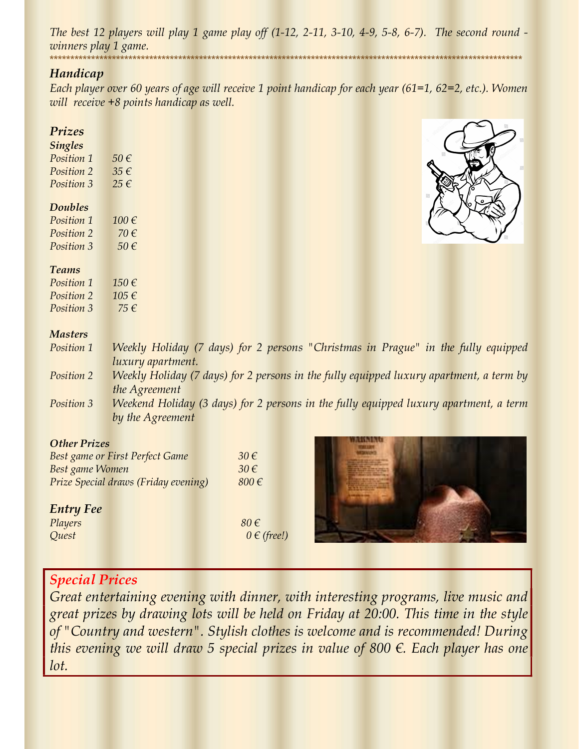The best 12 players will play 1 game play off (1-12, 2-11, 3-10, 4-9, 5-8, 6-7). The second round winners play 1 game.<br>\*\*\*\*\*\*\*\*\*\*\*\*\*\*\*\*\*\*\*\*\*\*\*\* \*\*\*\*\*\*\*\*\*\*\*\*\*\*\*\*\*\*\*\*\*\*\*\*\*\*\*\*\*\*\*\*\*\*\*\*\*\*\*\*\*\*\*\*\*\*\*\*\*\*\*\*\*\*\*\*\*\*\*\*\*\*\*\*\*\*\*\*\*\*\*\*\*\*\*\*\*\*\*\*\*\*\*\*\*\*\*\*\*\*\*\*\*\*\*\*\*\*\*\*\*\*\*\*\*\*\*\*\*\*\*\*\*\*

#### Handicap

Each player over 60 years of age will receive 1 point handicap for each year (61=1, 62=2, etc.). Women will receive +8 points handicap as well.

#### Prizes

#### Singles

Position 1 50  $\epsilon$ Position 2  $35 \in$ Position 3 25  $\epsilon$ 

#### Doubles

| Position 1        | $100 \notin$ |
|-------------------|--------------|
| Position 2        | 70 €         |
| <i>Position 3</i> | $50 \in$     |

#### Teams

Position 1  $150 \in$ Position 2 105  $\epsilon$ Position 3 75  $\epsilon$ 

#### **Masters**

|                                        | Position 1 Weekly Holiday (7 days) for 2 persons "Christmas in Prague" in the fully equipped                                                                                                                                                                                                                |  |
|----------------------------------------|-------------------------------------------------------------------------------------------------------------------------------------------------------------------------------------------------------------------------------------------------------------------------------------------------------------|--|
|                                        | <i>luxury apartment.</i>                                                                                                                                                                                                                                                                                    |  |
| $\mathbf{D}$ $\mathbf{L}$ $\mathbf{L}$ | <b>IAL</b> 11. II.1.1.1. $(7, 1, \ldots)$ $(6, 0, \ldots)$ . $(1, 6, 11, \ldots, 1, 1, \ldots, 1, 1, \ldots, 1, \ldots, 1, \ldots, 1, 1, \ldots, 1, 1, \ldots, 1, 1, \ldots, 1, 1, \ldots, 1, 1, \ldots, 1, 1, \ldots, 1, 1, \ldots, 1, 1, \ldots, 1, 1, 1, \ldots, 1, 1, 1, \ldots, 1, 1, 1, \ldots, 1, 1$ |  |

- Position 2 Weekly Holiday (7 days) for 2 persons in the fully equipped luxury apartment, a term by the Agreement
- Position 3 Weekend Holiday (3 days) for 2 persons in the fully equipped luxury apartment, a term by the Agreement

#### Other Prizes

| Best game or First Perfect Game      | $30 \in$  |
|--------------------------------------|-----------|
| <b>Best game Women</b>               | $30 \in$  |
| Prize Special draws (Friday evening) | $800 \in$ |

#### Entry Fee

| Players | $80 \in$ |
|---------|----------|
| Quest   | $0 \in$  |



### Special Prices

Great entertaining evening with dinner, with interesting programs, live music and great prizes by drawing lots will be held on Friday at 20:00. This time in the style of "Country and western". Stylish clothes is welcome and is recommended! During this evening we will draw 5 special prizes in value of 800  $\epsilon$ . Each player has one lot.

 $0 \in (free!)$